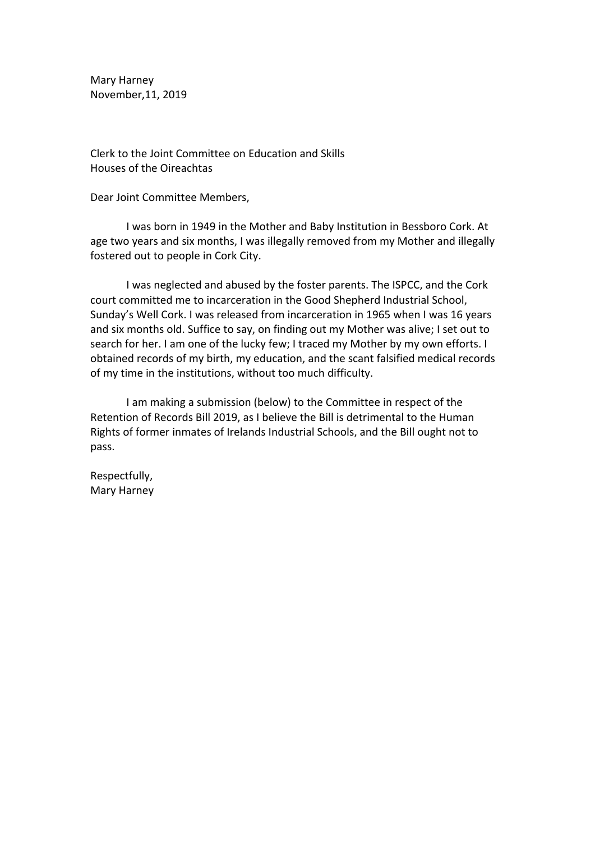Mary Harney November,11, 2019

Clerk to the Joint Committee on Education and Skills Houses of the Oireachtas

Dear Joint Committee Members,

I was born in 1949 in the Mother and Baby Institution in Bessboro Cork. At age two years and six months, I was illegally removed from my Mother and illegally fostered out to people in Cork City.

I was neglected and abused by the foster parents. The ISPCC, and the Cork court committed me to incarceration in the Good Shepherd Industrial School, Sunday's Well Cork. I was released from incarceration in 1965 when I was 16 years and six months old. Suffice to say, on finding out my Mother was alive; I set out to search for her. I am one of the lucky few; I traced my Mother by my own efforts. I obtained records of my birth, my education, and the scant falsified medical records of my time in the institutions, without too much difficulty.

I am making a submission (below) to the Committee in respect of the Retention of Records Bill 2019, as I believe the Bill is detrimental to the Human Rights of former inmates of Irelands Industrial Schools, and the Bill ought not to pass.

Respectfully, Mary Harney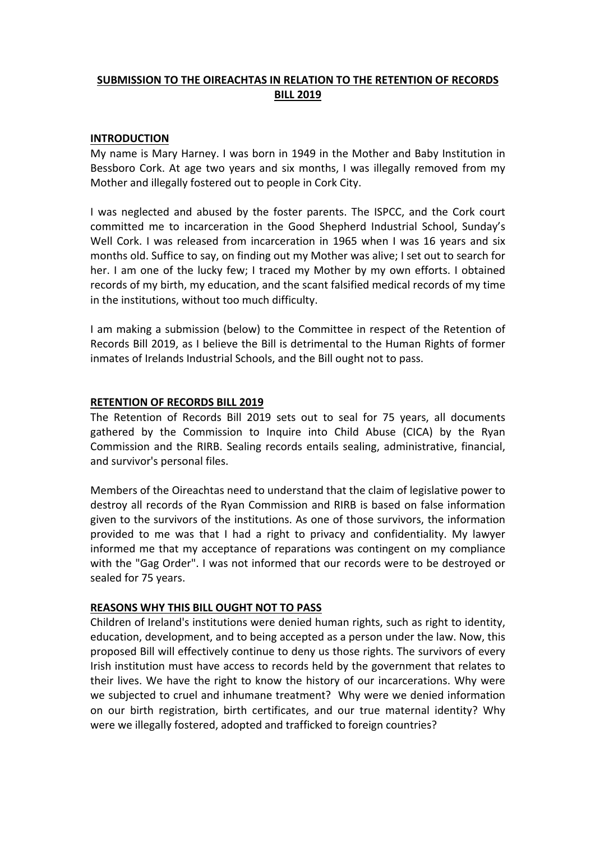# **SUBMISSION TO THE OIREACHTAS IN RELATION TO THE RETENTION OF RECORDS BILL 2019**

## **INTRODUCTION**

My name is Mary Harney. I was born in 1949 in the Mother and Baby Institution in Bessboro Cork. At age two years and six months, I was illegally removed from my Mother and illegally fostered out to people in Cork City.

I was neglected and abused by the foster parents. The ISPCC, and the Cork court committed me to incarceration in the Good Shepherd Industrial School, Sunday's Well Cork. I was released from incarceration in 1965 when I was 16 years and six months old. Suffice to say, on finding out my Mother was alive; I set out to search for her. I am one of the lucky few; I traced my Mother by my own efforts. I obtained records of my birth, my education, and the scant falsified medical records of my time in the institutions, without too much difficulty.

I am making a submission (below) to the Committee in respect of the Retention of Records Bill 2019, as I believe the Bill is detrimental to the Human Rights of former inmates of Irelands Industrial Schools, and the Bill ought not to pass.

## **RETENTION OF RECORDS BILL 2019**

The Retention of Records Bill 2019 sets out to seal for 75 years, all documents gathered by the Commission to Inquire into Child Abuse (CICA) by the Ryan Commission and the RIRB. Sealing records entails sealing, administrative, financial, and survivor's personal files.

Members of the Oireachtas need to understand that the claim of legislative power to destroy all records of the Ryan Commission and RIRB is based on false information given to the survivors of the institutions. As one of those survivors, the information provided to me was that I had a right to privacy and confidentiality. My lawyer informed me that my acceptance of reparations was contingent on my compliance with the "Gag Order". I was not informed that our records were to be destroyed or sealed for 75 years.

#### **REASONS WHY THIS BILL OUGHT NOT TO PASS**

Children of Ireland's institutions were denied human rights, such as right to identity, education, development, and to being accepted as a person under the law. Now, this proposed Bill will effectively continue to deny us those rights. The survivors of every Irish institution must have access to records held by the government that relates to their lives. We have the right to know the history of our incarcerations. Why were we subjected to cruel and inhumane treatment? Why were we denied information on our birth registration, birth certificates, and our true maternal identity? Why were we illegally fostered, adopted and trafficked to foreign countries?